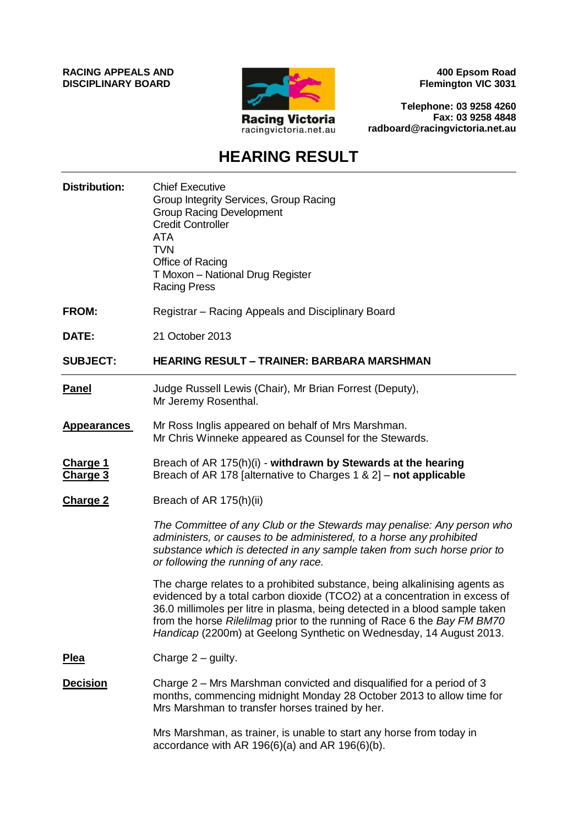**RACING APPEALS AND DISCIPLINARY BOARD**



**400 Epsom Road Flemington VIC 3031**

**Telephone: 03 9258 4260 Fax: 03 9258 4848 radboard@racingvictoria.net.au**

# **HEARING RESULT**

| <b>Distribution:</b>        | <b>Chief Executive</b><br>Group Integrity Services, Group Racing<br><b>Group Racing Development</b><br><b>Credit Controller</b><br><b>ATA</b><br><b>TVN</b><br>Office of Racing<br>T Moxon - National Drug Register<br><b>Racing Press</b>                                                                                                                                                               |
|-----------------------------|----------------------------------------------------------------------------------------------------------------------------------------------------------------------------------------------------------------------------------------------------------------------------------------------------------------------------------------------------------------------------------------------------------|
| <b>FROM:</b>                | Registrar – Racing Appeals and Disciplinary Board                                                                                                                                                                                                                                                                                                                                                        |
| DATE:                       | 21 October 2013                                                                                                                                                                                                                                                                                                                                                                                          |
| <b>SUBJECT:</b>             | HEARING RESULT – TRAINER: BARBARA MARSHMAN                                                                                                                                                                                                                                                                                                                                                               |
| <b>Panel</b>                | Judge Russell Lewis (Chair), Mr Brian Forrest (Deputy),<br>Mr Jeremy Rosenthal.                                                                                                                                                                                                                                                                                                                          |
| <b>Appearances</b>          | Mr Ross Inglis appeared on behalf of Mrs Marshman.<br>Mr Chris Winneke appeared as Counsel for the Stewards.                                                                                                                                                                                                                                                                                             |
| <b>Charge 1</b><br>Charge 3 | Breach of AR 175(h)(i) - withdrawn by Stewards at the hearing<br>Breach of AR 178 [alternative to Charges 1 & 2] – not applicable                                                                                                                                                                                                                                                                        |
| <b>Charge 2</b>             | Breach of AR 175(h)(ii)                                                                                                                                                                                                                                                                                                                                                                                  |
|                             | The Committee of any Club or the Stewards may penalise: Any person who<br>administers, or causes to be administered, to a horse any prohibited<br>substance which is detected in any sample taken from such horse prior to<br>or following the running of any race.                                                                                                                                      |
|                             | The charge relates to a prohibited substance, being alkalinising agents as<br>evidenced by a total carbon dioxide (TCO2) at a concentration in excess of<br>36.0 millimoles per litre in plasma, being detected in a blood sample taken<br>from the horse <i>Rilelilmag</i> prior to the running of Race 6 the <i>Bay FM BM70</i><br>Handicap (2200m) at Geelong Synthetic on Wednesday, 14 August 2013. |
| <u>Plea</u>                 | Charge $2$ – guilty.                                                                                                                                                                                                                                                                                                                                                                                     |
| <b>Decision</b>             | Charge 2 – Mrs Marshman convicted and disqualified for a period of 3<br>months, commencing midnight Monday 28 October 2013 to allow time for<br>Mrs Marshman to transfer horses trained by her.                                                                                                                                                                                                          |
|                             | Mrs Marshman, as trainer, is unable to start any horse from today in<br>accordance with AR 196(6)(a) and AR 196(6)(b).                                                                                                                                                                                                                                                                                   |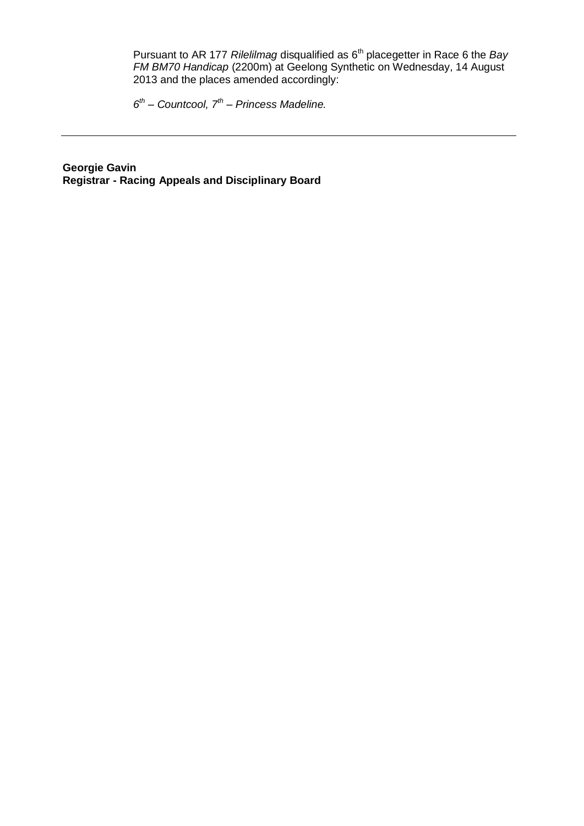Pursuant to AR 177 *Rilelilmag* disqualified as 6th placegetter in Race 6 the *Bay FM BM70 Handicap* (2200m) at Geelong Synthetic on Wednesday, 14 August 2013 and the places amended accordingly:

*6 th – Countcool, 7th – Princess Madeline.*

**Georgie Gavin Registrar - Racing Appeals and Disciplinary Board**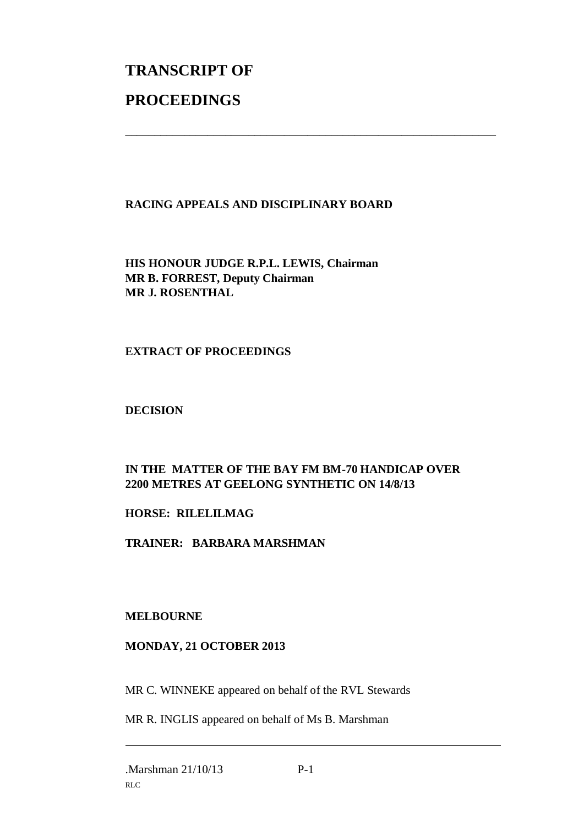# **TRANSCRIPT OF PROCEEDINGS**

### **RACING APPEALS AND DISCIPLINARY BOARD**

\_\_\_\_\_\_\_\_\_\_\_\_\_\_\_\_\_\_\_\_\_\_\_\_\_\_\_\_\_\_\_\_\_\_\_\_\_\_\_\_\_\_\_\_\_\_\_\_\_\_\_\_\_\_\_\_\_\_\_\_\_\_\_

**HIS HONOUR JUDGE R.P.L. LEWIS, Chairman MR B. FORREST, Deputy Chairman MR J. ROSENTHAL**

#### **EXTRACT OF PROCEEDINGS**

#### **DECISION**

## **IN THE MATTER OF THE BAY FM BM-70 HANDICAP OVER 2200 METRES AT GEELONG SYNTHETIC ON 14/8/13**

#### **HORSE: RILELILMAG**

**TRAINER: BARBARA MARSHMAN**

#### **MELBOURNE**

#### **MONDAY, 21 OCTOBER 2013**

MR C. WINNEKE appeared on behalf of the RVL Stewards

MR R. INGLIS appeared on behalf of Ms B. Marshman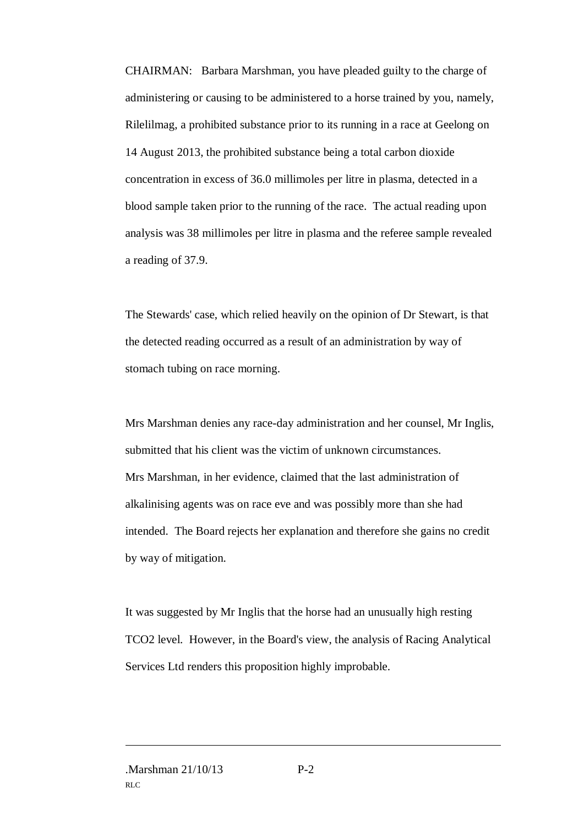CHAIRMAN: Barbara Marshman, you have pleaded guilty to the charge of administering or causing to be administered to a horse trained by you, namely, Rilelilmag, a prohibited substance prior to its running in a race at Geelong on 14 August 2013, the prohibited substance being a total carbon dioxide concentration in excess of 36.0 millimoles per litre in plasma, detected in a blood sample taken prior to the running of the race. The actual reading upon analysis was 38 millimoles per litre in plasma and the referee sample revealed a reading of 37.9.

The Stewards' case, which relied heavily on the opinion of Dr Stewart, is that the detected reading occurred as a result of an administration by way of stomach tubing on race morning.

Mrs Marshman denies any race-day administration and her counsel, Mr Inglis, submitted that his client was the victim of unknown circumstances. Mrs Marshman, in her evidence, claimed that the last administration of alkalinising agents was on race eve and was possibly more than she had intended. The Board rejects her explanation and therefore she gains no credit by way of mitigation.

It was suggested by Mr Inglis that the horse had an unusually high resting TCO2 level. However, in the Board's view, the analysis of Racing Analytical Services Ltd renders this proposition highly improbable.